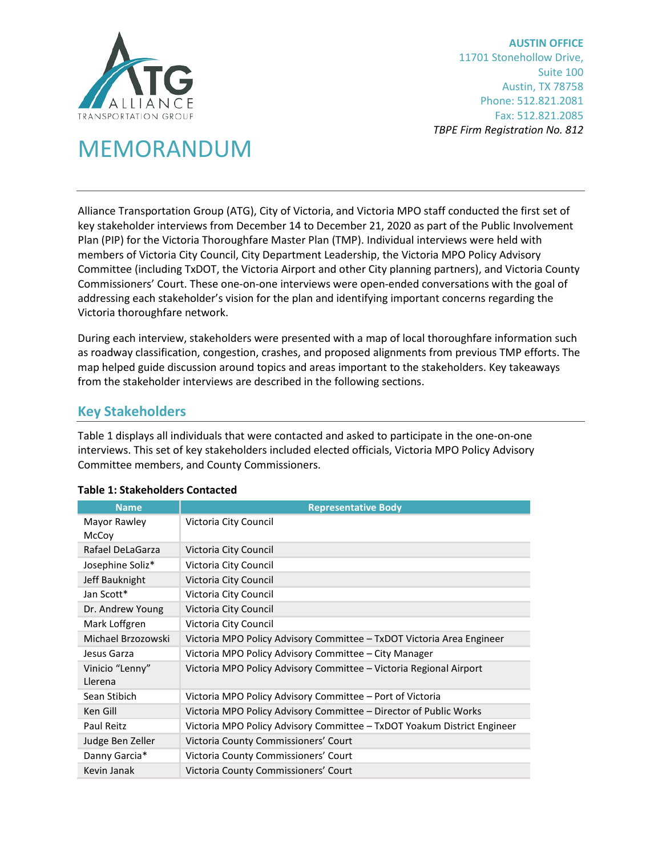

**AUSTIN OFFICE** 11701 Stonehollow Drive, Suite 100 Austin, TX 78758 Phone: 512.821.2081 Fax: 512.821.2085 *TBPE Firm Registration No. 812*

## MEMORANDUM

Alliance Transportation Group (ATG), City of Victoria, and Victoria MPO staff conducted the first set of key stakeholder interviews from December 14 to December 21, 2020 as part of the Public Involvement Plan (PIP) for the Victoria Thoroughfare Master Plan (TMP). Individual interviews were held with members of Victoria City Council, City Department Leadership, the Victoria MPO Policy Advisory Committee (including TxDOT, the Victoria Airport and other City planning partners), and Victoria County Commissioners' Court. These one-on-one interviews were open-ended conversations with the goal of addressing each stakeholder's vision for the plan and identifying important concerns regarding the Victoria thoroughfare network.

During each interview, stakeholders were presented with a map of local thoroughfare information such as roadway classification, congestion, crashes, and proposed alignments from previous TMP efforts. The map helped guide discussion around topics and areas important to the stakeholders. Key takeaways from the stakeholder interviews are described in the following sections.

## **Key Stakeholders**

[Table 1](#page-0-0) displays all individuals that were contacted and asked to participate in the one-on-one interviews. This set of key stakeholders included elected officials, Victoria MPO Policy Advisory Committee members, and County Commissioners.

| <b>Name</b>                | <b>Representative Body</b>                                              |  |  |
|----------------------------|-------------------------------------------------------------------------|--|--|
| Mayor Rawley<br>McCoy      | Victoria City Council                                                   |  |  |
| Rafael DeLaGarza           | Victoria City Council                                                   |  |  |
| Josephine Soliz*           | Victoria City Council                                                   |  |  |
| Jeff Bauknight             | Victoria City Council                                                   |  |  |
| Jan Scott*                 | Victoria City Council                                                   |  |  |
| Dr. Andrew Young           | Victoria City Council                                                   |  |  |
| Mark Loffgren              | Victoria City Council                                                   |  |  |
| Michael Brzozowski         | Victoria MPO Policy Advisory Committee – TxDOT Victoria Area Engineer   |  |  |
| Jesus Garza                | Victoria MPO Policy Advisory Committee - City Manager                   |  |  |
| Vinicio "Lenny"<br>Llerena | Victoria MPO Policy Advisory Committee – Victoria Regional Airport      |  |  |
| Sean Stibich               | Victoria MPO Policy Advisory Committee – Port of Victoria               |  |  |
| Ken Gill                   | Victoria MPO Policy Advisory Committee – Director of Public Works       |  |  |
| Paul Reitz                 | Victoria MPO Policy Advisory Committee - TxDOT Yoakum District Engineer |  |  |
| Judge Ben Zeller           | Victoria County Commissioners' Court                                    |  |  |
| Danny Garcia*              | Victoria County Commissioners' Court                                    |  |  |
| Kevin Janak                | Victoria County Commissioners' Court                                    |  |  |

## <span id="page-0-0"></span>**Table 1: Stakeholders Contacted**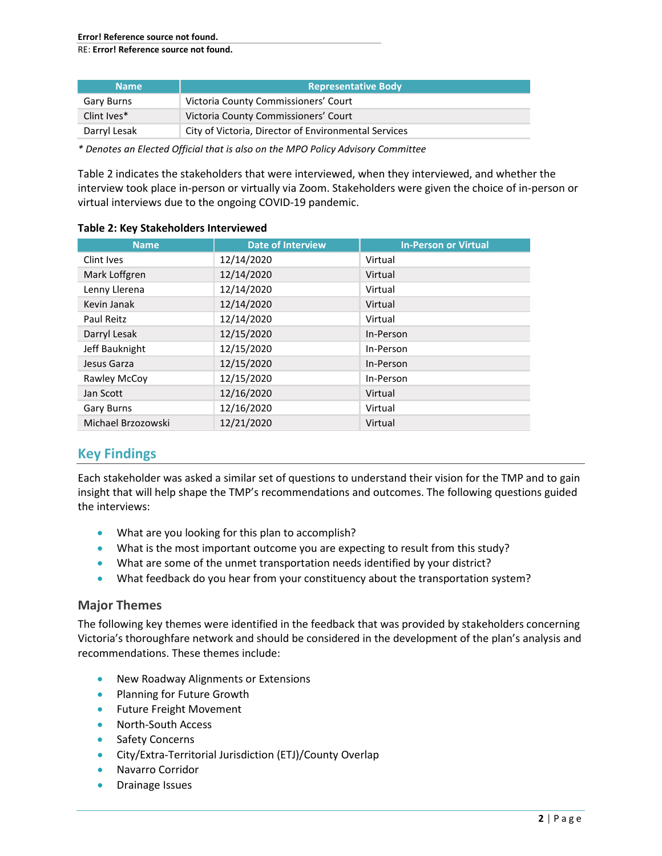RE: **Error! Reference source not found.**

| <b>Name</b>  | <b>Representative Body</b>                           |
|--------------|------------------------------------------------------|
| Gary Burns   | Victoria County Commissioners' Court                 |
| Clint Ives*  | Victoria County Commissioners' Court                 |
| Darryl Lesak | City of Victoria, Director of Environmental Services |

*\* Denotes an Elected Official that is also on the MPO Policy Advisory Committee*

[Table 2](#page-1-0) indicates the stakeholders that were interviewed, when they interviewed, and whether the interview took place in-person or virtually via Zoom. Stakeholders were given the choice of in-person or virtual interviews due to the ongoing COVID-19 pandemic.

| <b>Name</b>        | <b>Date of Interview</b> | <b>In-Person or Virtual</b> |
|--------------------|--------------------------|-----------------------------|
| Clint Ives         | 12/14/2020               | Virtual                     |
| Mark Loffgren      | 12/14/2020               | Virtual                     |
| Lenny Llerena      | 12/14/2020               | Virtual                     |
| Kevin Janak        | 12/14/2020               | Virtual                     |
| Paul Reitz         | 12/14/2020               | Virtual                     |
| Darryl Lesak       | 12/15/2020               | In-Person                   |
| Jeff Bauknight     | 12/15/2020               | In-Person                   |
| Jesus Garza        | 12/15/2020               | In-Person                   |
| Rawley McCoy       | 12/15/2020               | In-Person                   |
| Jan Scott          | 12/16/2020               | Virtual                     |
| <b>Gary Burns</b>  | 12/16/2020               | Virtual                     |
| Michael Brzozowski | 12/21/2020               | Virtual                     |

### <span id="page-1-0"></span>**Table 2: Key Stakeholders Interviewed**

## **Key Findings**

Each stakeholder was asked a similar set of questions to understand their vision for the TMP and to gain insight that will help shape the TMP's recommendations and outcomes. The following questions guided the interviews:

- What are you looking for this plan to accomplish?
- What is the most important outcome you are expecting to result from this study?
- What are some of the unmet transportation needs identified by your district?
- What feedback do you hear from your constituency about the transportation system?

## **Major Themes**

The following key themes were identified in the feedback that was provided by stakeholders concerning Victoria's thoroughfare network and should be considered in the development of the plan's analysis and recommendations. These themes include:

- New Roadway Alignments or Extensions
- Planning for Future Growth
- Future Freight Movement
- North-South Access
- Safety Concerns
- City/Extra-Territorial Jurisdiction (ETJ)/County Overlap
- Navarro Corridor
- Drainage Issues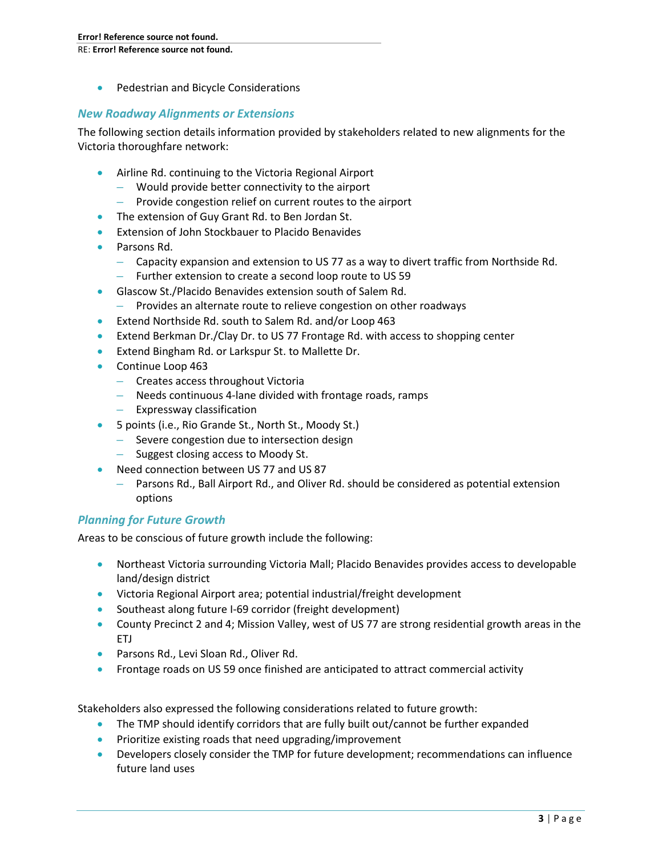• Pedestrian and Bicycle Considerations

## *New Roadway Alignments or Extensions*

The following section details information provided by stakeholders related to new alignments for the Victoria thoroughfare network:

- Airline Rd. continuing to the Victoria Regional Airport
	- Would provide better connectivity to the airport
	- Provide congestion relief on current routes to the airport
- The extension of Guy Grant Rd. to Ben Jordan St.
- Extension of John Stockbauer to Placido Benavides
- Parsons Rd.
	- Capacity expansion and extension to US 77 as a way to divert traffic from Northside Rd.
	- Further extension to create a second loop route to US 59
- Glascow St./Placido Benavides extension south of Salem Rd.
	- Provides an alternate route to relieve congestion on other roadways
- Extend Northside Rd. south to Salem Rd. and/or Loop 463
- Extend Berkman Dr./Clay Dr. to US 77 Frontage Rd. with access to shopping center
- Extend Bingham Rd. or Larkspur St. to Mallette Dr.
- Continue Loop 463
	- Creates access throughout Victoria
	- Needs continuous 4-lane divided with frontage roads, ramps
	- Expressway classification
- 5 points (i.e., Rio Grande St., North St., Moody St.)
	- Severe congestion due to intersection design
	- Suggest closing access to Moody St.
- Need connection between US 77 and US 87
	- Parsons Rd., Ball Airport Rd., and Oliver Rd. should be considered as potential extension options

## *Planning for Future Growth*

Areas to be conscious of future growth include the following:

- Northeast Victoria surrounding Victoria Mall; Placido Benavides provides access to developable land/design district
- Victoria Regional Airport area; potential industrial/freight development
- Southeast along future I-69 corridor (freight development)
- County Precinct 2 and 4; Mission Valley, west of US 77 are strong residential growth areas in the ETJ
- Parsons Rd., Levi Sloan Rd., Oliver Rd.
- Frontage roads on US 59 once finished are anticipated to attract commercial activity

Stakeholders also expressed the following considerations related to future growth:

- The TMP should identify corridors that are fully built out/cannot be further expanded
- Prioritize existing roads that need upgrading/improvement
- Developers closely consider the TMP for future development; recommendations can influence future land uses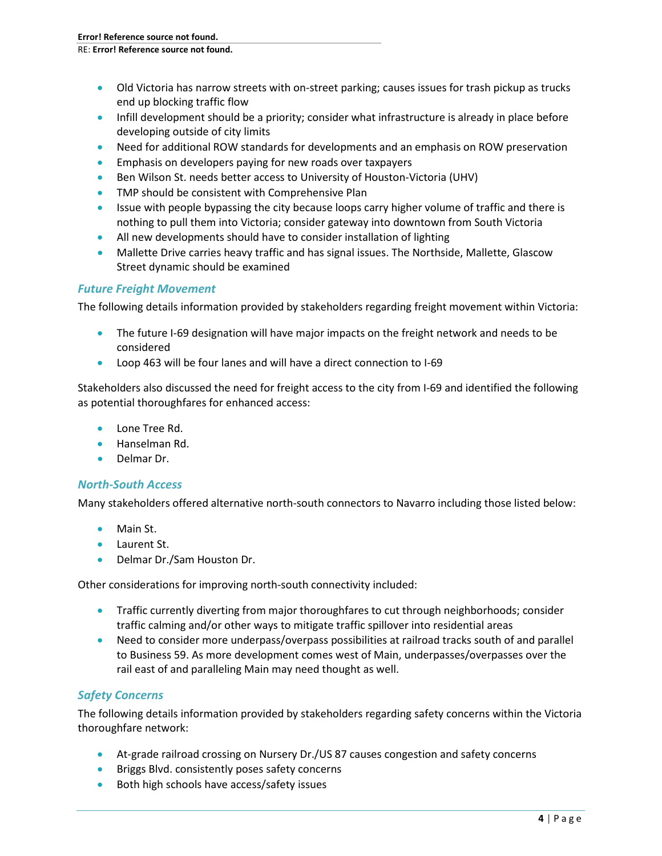- Old Victoria has narrow streets with on-street parking; causes issues for trash pickup as trucks end up blocking traffic flow
- Infill development should be a priority; consider what infrastructure is already in place before developing outside of city limits
- Need for additional ROW standards for developments and an emphasis on ROW preservation
- Emphasis on developers paying for new roads over taxpayers
- Ben Wilson St. needs better access to University of Houston-Victoria (UHV)
- TMP should be consistent with Comprehensive Plan
- Issue with people bypassing the city because loops carry higher volume of traffic and there is nothing to pull them into Victoria; consider gateway into downtown from South Victoria
- All new developments should have to consider installation of lighting
- Mallette Drive carries heavy traffic and has signal issues. The Northside, Mallette, Glascow Street dynamic should be examined

## *Future Freight Movement*

The following details information provided by stakeholders regarding freight movement within Victoria:

- The future I-69 designation will have major impacts on the freight network and needs to be considered
- Loop 463 will be four lanes and will have a direct connection to I-69

Stakeholders also discussed the need for freight access to the city from I-69 and identified the following as potential thoroughfares for enhanced access:

- Lone Tree Rd.
- Hanselman Rd.
- Delmar Dr.

## *North-South Access*

Many stakeholders offered alternative north-south connectors to Navarro including those listed below:

- Main St.
- Laurent St.
- Delmar Dr./Sam Houston Dr.

Other considerations for improving north-south connectivity included:

- Traffic currently diverting from major thoroughfares to cut through neighborhoods; consider traffic calming and/or other ways to mitigate traffic spillover into residential areas
- Need to consider more underpass/overpass possibilities at railroad tracks south of and parallel to Business 59. As more development comes west of Main, underpasses/overpasses over the rail east of and paralleling Main may need thought as well.

## *Safety Concerns*

The following details information provided by stakeholders regarding safety concerns within the Victoria thoroughfare network:

- At-grade railroad crossing on Nursery Dr./US 87 causes congestion and safety concerns
- Briggs Blvd. consistently poses safety concerns
- Both high schools have access/safety issues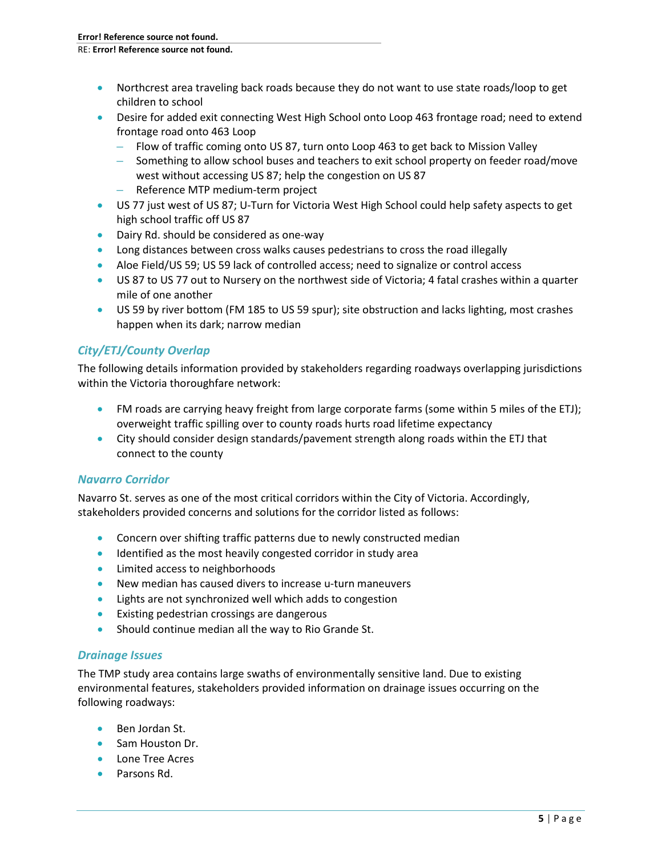- Northcrest area traveling back roads because they do not want to use state roads/loop to get children to school
- Desire for added exit connecting West High School onto Loop 463 frontage road; need to extend frontage road onto 463 Loop
	- Flow of traffic coming onto US 87, turn onto Loop 463 to get back to Mission Valley
	- Something to allow school buses and teachers to exit school property on feeder road/move west without accessing US 87; help the congestion on US 87
	- Reference MTP medium-term project
- US 77 just west of US 87; U-Turn for Victoria West High School could help safety aspects to get high school traffic off US 87
- Dairy Rd. should be considered as one-way
- Long distances between cross walks causes pedestrians to cross the road illegally
- Aloe Field/US 59; US 59 lack of controlled access; need to signalize or control access
- US 87 to US 77 out to Nursery on the northwest side of Victoria; 4 fatal crashes within a quarter mile of one another
- US 59 by river bottom (FM 185 to US 59 spur); site obstruction and lacks lighting, most crashes happen when its dark; narrow median

## *City/ETJ/County Overlap*

The following details information provided by stakeholders regarding roadways overlapping jurisdictions within the Victoria thoroughfare network:

- FM roads are carrying heavy freight from large corporate farms (some within 5 miles of the ETJ); overweight traffic spilling over to county roads hurts road lifetime expectancy
- City should consider design standards/pavement strength along roads within the ETJ that connect to the county

## *Navarro Corridor*

Navarro St. serves as one of the most critical corridors within the City of Victoria. Accordingly, stakeholders provided concerns and solutions for the corridor listed as follows:

- Concern over shifting traffic patterns due to newly constructed median
- Identified as the most heavily congested corridor in study area
- Limited access to neighborhoods
- New median has caused divers to increase u-turn maneuvers
- Lights are not synchronized well which adds to congestion
- Existing pedestrian crossings are dangerous
- Should continue median all the way to Rio Grande St.

## *Drainage Issues*

The TMP study area contains large swaths of environmentally sensitive land. Due to existing environmental features, stakeholders provided information on drainage issues occurring on the following roadways:

- Ben Jordan St.
- Sam Houston Dr.
- Lone Tree Acres
- Parsons Rd.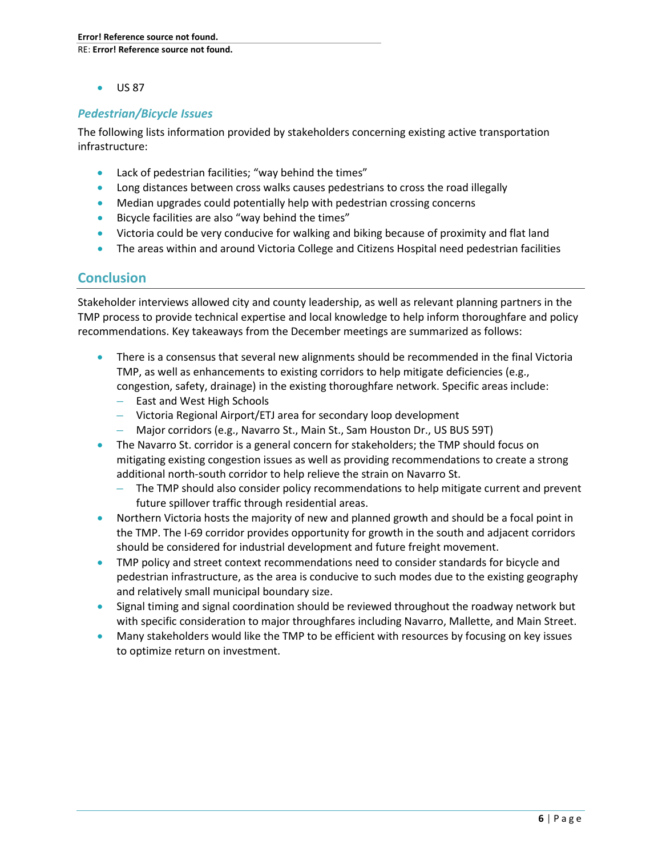• US 87

## *Pedestrian/Bicycle Issues*

The following lists information provided by stakeholders concerning existing active transportation infrastructure:

- Lack of pedestrian facilities; "way behind the times"
- Long distances between cross walks causes pedestrians to cross the road illegally
- Median upgrades could potentially help with pedestrian crossing concerns
- Bicycle facilities are also "way behind the times"
- Victoria could be very conducive for walking and biking because of proximity and flat land
- The areas within and around Victoria College and Citizens Hospital need pedestrian facilities

## **Conclusion**

Stakeholder interviews allowed city and county leadership, as well as relevant planning partners in the TMP process to provide technical expertise and local knowledge to help inform thoroughfare and policy recommendations. Key takeaways from the December meetings are summarized as follows:

- There is a consensus that several new alignments should be recommended in the final Victoria TMP, as well as enhancements to existing corridors to help mitigate deficiencies (e.g., congestion, safety, drainage) in the existing thoroughfare network. Specific areas include:
	- East and West High Schools
	- Victoria Regional Airport/ETJ area for secondary loop development
	- Major corridors (e.g., Navarro St., Main St., Sam Houston Dr., US BUS 59T)
- The Navarro St. corridor is a general concern for stakeholders; the TMP should focus on mitigating existing congestion issues as well as providing recommendations to create a strong additional north-south corridor to help relieve the strain on Navarro St.
	- The TMP should also consider policy recommendations to help mitigate current and prevent future spillover traffic through residential areas.
- Northern Victoria hosts the majority of new and planned growth and should be a focal point in the TMP. The I-69 corridor provides opportunity for growth in the south and adjacent corridors should be considered for industrial development and future freight movement.
- TMP policy and street context recommendations need to consider standards for bicycle and pedestrian infrastructure, as the area is conducive to such modes due to the existing geography and relatively small municipal boundary size.
- Signal timing and signal coordination should be reviewed throughout the roadway network but with specific consideration to major throughfares including Navarro, Mallette, and Main Street.
- Many stakeholders would like the TMP to be efficient with resources by focusing on key issues to optimize return on investment.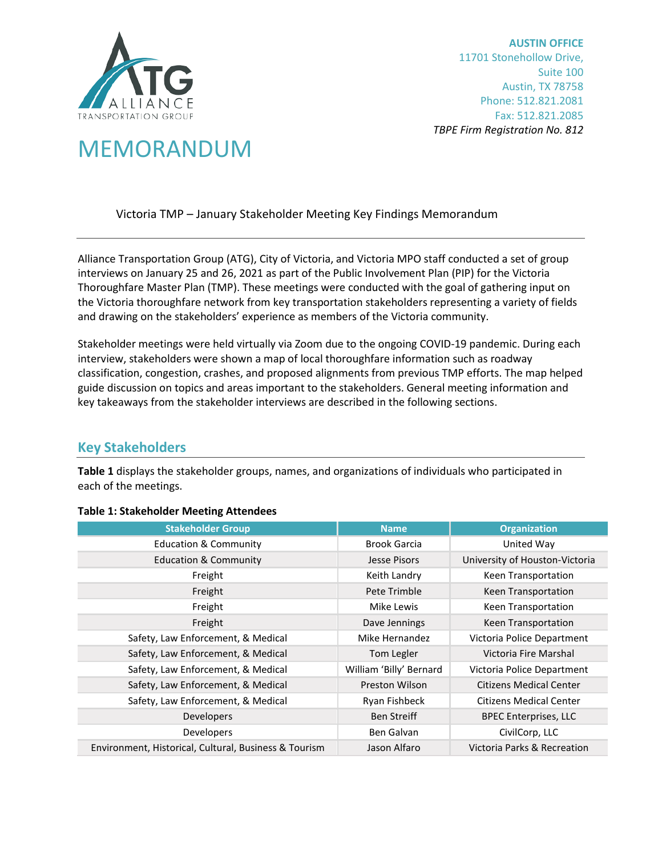

**AUSTIN OFFICE** 11701 Stonehollow Drive, Suite 100 Austin, TX 78758 Phone: 512.821.2081 Fax: 512.821.2085 *TBPE Firm Registration No. 812*

# MEMORANDUM

Victoria TMP – January Stakeholder Meeting Key Findings Memorandum

Alliance Transportation Group (ATG), City of Victoria, and Victoria MPO staff conducted a set of group interviews on January 25 and 26, 2021 as part of the Public Involvement Plan (PIP) for the Victoria Thoroughfare Master Plan (TMP). These meetings were conducted with the goal of gathering input on the Victoria thoroughfare network from key transportation stakeholders representing a variety of fields and drawing on the stakeholders' experience as members of the Victoria community.

Stakeholder meetings were held virtually via Zoom due to the ongoing COVID-19 pandemic. During each interview, stakeholders were shown a map of local thoroughfare information such as roadway classification, congestion, crashes, and proposed alignments from previous TMP efforts. The map helped guide discussion on topics and areas important to the stakeholders. General meeting information and key takeaways from the stakeholder interviews are described in the following sections.

## **Key Stakeholders**

**Table 1** displays the stakeholder groups, names, and organizations of individuals who participated in each of the meetings.

<span id="page-6-0"></span>

| <b>Stakeholder Group</b>                              | <b>Name</b>             | <b>Organization</b>            |
|-------------------------------------------------------|-------------------------|--------------------------------|
| <b>Education &amp; Community</b>                      | Brook Garcia            | United Way                     |
| <b>Education &amp; Community</b>                      | Jesse Pisors            | University of Houston-Victoria |
| Freight                                               | Keith Landry            | Keen Transportation            |
| Freight                                               | Pete Trimble            | Keen Transportation            |
| Freight                                               | Mike Lewis              | Keen Transportation            |
| Freight                                               | Dave Jennings           | Keen Transportation            |
| Safety, Law Enforcement, & Medical                    | Mike Hernandez          | Victoria Police Department     |
| Safety, Law Enforcement, & Medical                    | Tom Legler              | Victoria Fire Marshal          |
| Safety, Law Enforcement, & Medical                    | William 'Billy' Bernard | Victoria Police Department     |
| Safety, Law Enforcement, & Medical                    | Preston Wilson          | <b>Citizens Medical Center</b> |
| Safety, Law Enforcement, & Medical                    | Ryan Fishbeck           | <b>Citizens Medical Center</b> |
| Developers                                            | <b>Ben Streiff</b>      | <b>BPEC Enterprises, LLC</b>   |
| Developers                                            | Ben Galvan              | CivilCorp, LLC                 |
| Environment, Historical, Cultural, Business & Tourism | Jason Alfaro            | Victoria Parks & Recreation    |

## **[Table 1:](#page-6-0) Stakeholder Meeting Attendees**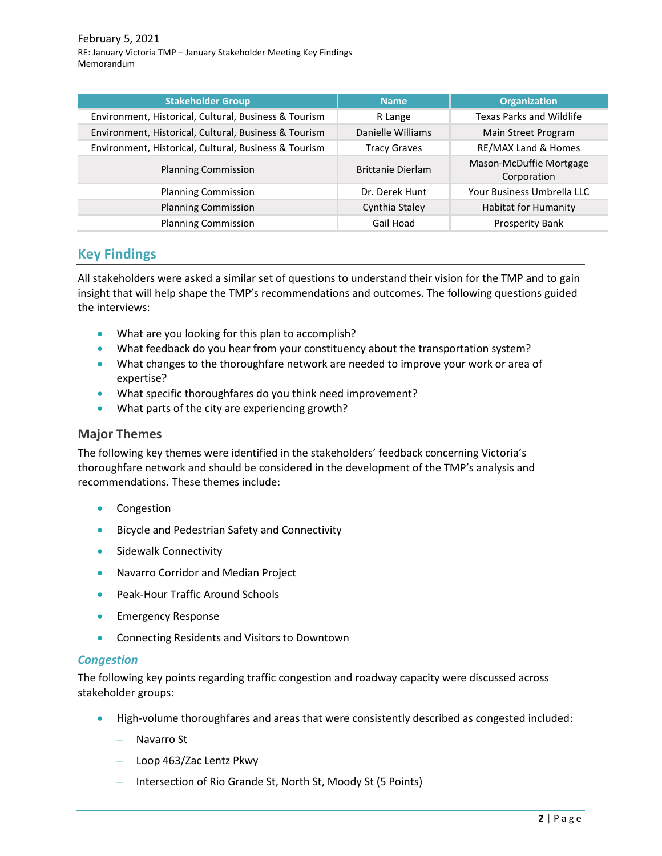RE: January Victoria TMP – January Stakeholder Meeting Key Findings Memorandum

| <b>Stakeholder Group</b>                              | <b>Name</b>              | <b>Organization</b>                    |
|-------------------------------------------------------|--------------------------|----------------------------------------|
| Environment, Historical, Cultural, Business & Tourism | R Lange                  | <b>Texas Parks and Wildlife</b>        |
| Environment, Historical, Cultural, Business & Tourism | Danielle Williams        | Main Street Program                    |
| Environment, Historical, Cultural, Business & Tourism | <b>Tracy Graves</b>      | RE/MAX Land & Homes                    |
| <b>Planning Commission</b>                            | <b>Brittanie Dierlam</b> | Mason-McDuffie Mortgage<br>Corporation |
| <b>Planning Commission</b>                            | Dr. Derek Hunt           | Your Business Umbrella LLC             |
| <b>Planning Commission</b>                            | Cynthia Staley           | <b>Habitat for Humanity</b>            |
| <b>Planning Commission</b>                            | Gail Hoad                | Prosperity Bank                        |

## **Key Findings**

All stakeholders were asked a similar set of questions to understand their vision for the TMP and to gain insight that will help shape the TMP's recommendations and outcomes. The following questions guided the interviews:

- What are you looking for this plan to accomplish?
- What feedback do you hear from your constituency about the transportation system?
- What changes to the thoroughfare network are needed to improve your work or area of expertise?
- What specific thoroughfares do you think need improvement?
- What parts of the city are experiencing growth?

## **Major Themes**

The following key themes were identified in the stakeholders' feedback concerning Victoria's thoroughfare network and should be considered in the development of the TMP's analysis and recommendations. These themes include:

- Congestion
- Bicycle and Pedestrian Safety and Connectivity
- Sidewalk Connectivity
- Navarro Corridor and Median Project
- Peak-Hour Traffic Around Schools
- Emergency Response
- Connecting Residents and Visitors to Downtown

## *Congestion*

The following key points regarding traffic congestion and roadway capacity were discussed across stakeholder groups:

- High-volume thoroughfares and areas that were consistently described as congested included:
	- Navarro St
	- Loop 463/Zac Lentz Pkwy
	- Intersection of Rio Grande St, North St, Moody St (5 Points)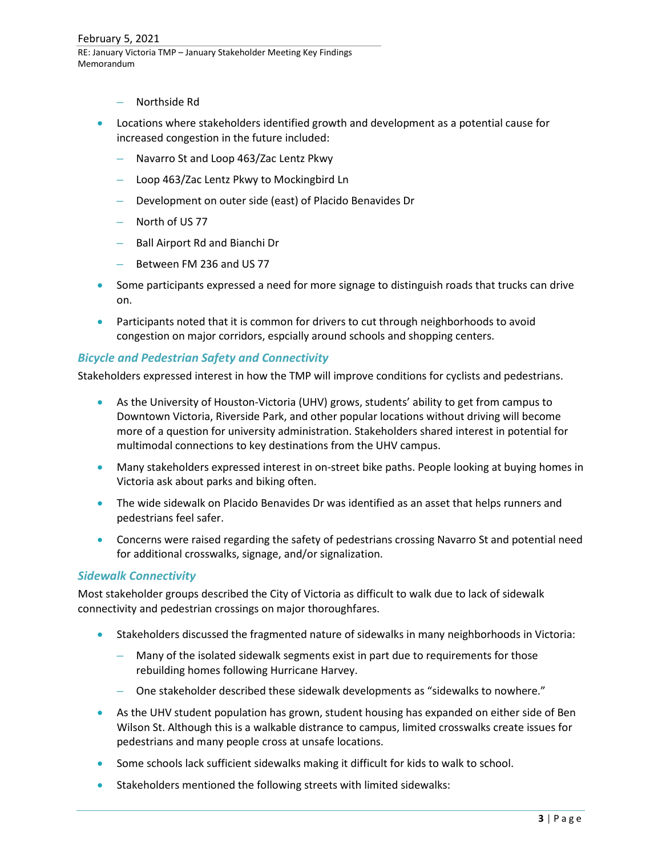- Northside Rd
- Locations where stakeholders identified growth and development as a potential cause for increased congestion in the future included:
	- Navarro St and Loop 463/Zac Lentz Pkwy
	- Loop 463/Zac Lentz Pkwy to Mockingbird Ln
	- Development on outer side (east) of Placido Benavides Dr
	- North of US 77
	- Ball Airport Rd and Bianchi Dr
	- Between FM 236 and US 77
- Some participants expressed a need for more signage to distinguish roads that trucks can drive on.
- Participants noted that it is common for drivers to cut through neighborhoods to avoid congestion on major corridors, espcially around schools and shopping centers.

### *Bicycle and Pedestrian Safety and Connectivity*

Stakeholders expressed interest in how the TMP will improve conditions for cyclists and pedestrians.

- As the University of Houston-Victoria (UHV) grows, students' ability to get from campus to Downtown Victoria, Riverside Park, and other popular locations without driving will become more of a question for university administration. Stakeholders shared interest in potential for multimodal connections to key destinations from the UHV campus.
- Many stakeholders expressed interest in on-street bike paths. People looking at buying homes in Victoria ask about parks and biking often.
- The wide sidewalk on Placido Benavides Dr was identified as an asset that helps runners and pedestrians feel safer.
- Concerns were raised regarding the safety of pedestrians crossing Navarro St and potential need for additional crosswalks, signage, and/or signalization.

## *Sidewalk Connectivity*

Most stakeholder groups described the City of Victoria as difficult to walk due to lack of sidewalk connectivity and pedestrian crossings on major thoroughfares.

- Stakeholders discussed the fragmented nature of sidewalks in many neighborhoods in Victoria:
	- Many of the isolated sidewalk segments exist in part due to requirements for those rebuilding homes following Hurricane Harvey.
	- One stakeholder described these sidewalk developments as "sidewalks to nowhere."
- As the UHV student population has grown, student housing has expanded on either side of Ben Wilson St. Although this is a walkable distrance to campus, limited crosswalks create issues for pedestrians and many people cross at unsafe locations.
- Some schools lack sufficient sidewalks making it difficult for kids to walk to school.
- Stakeholders mentioned the following streets with limited sidewalks: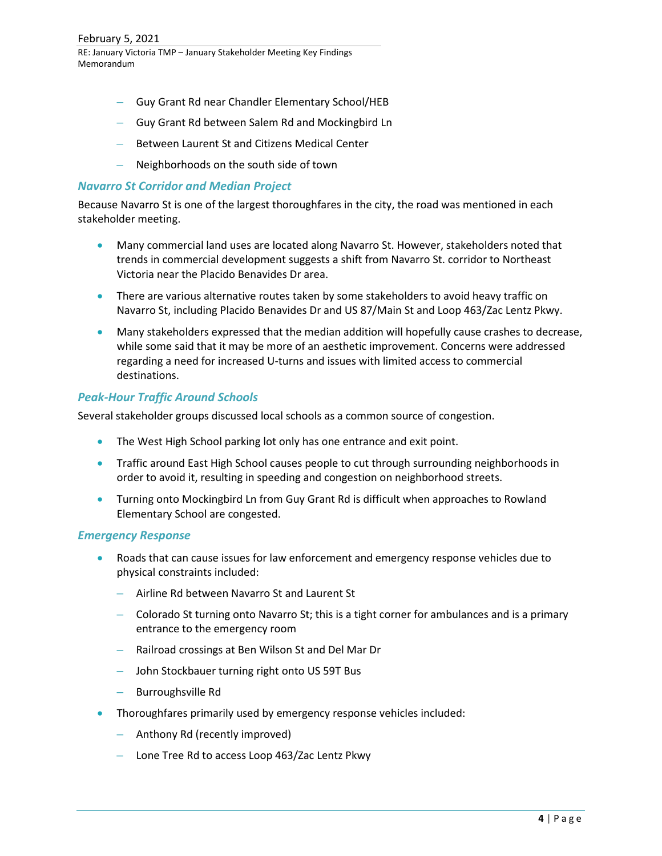- Guy Grant Rd near Chandler Elementary School/HEB
- Guy Grant Rd between Salem Rd and Mockingbird Ln
- Between Laurent St and Citizens Medical Center
- Neighborhoods on the south side of town

### *Navarro St Corridor and Median Project*

Because Navarro St is one of the largest thoroughfares in the city, the road was mentioned in each stakeholder meeting.

- Many commercial land uses are located along Navarro St. However, stakeholders noted that trends in commercial development suggests a shift from Navarro St. corridor to Northeast Victoria near the Placido Benavides Dr area.
- There are various alternative routes taken by some stakeholders to avoid heavy traffic on Navarro St, including Placido Benavides Dr and US 87/Main St and Loop 463/Zac Lentz Pkwy.
- Many stakeholders expressed that the median addition will hopefully cause crashes to decrease, while some said that it may be more of an aesthetic improvement. Concerns were addressed regarding a need for increased U-turns and issues with limited access to commercial destinations.

### *Peak-Hour Traffic Around Schools*

Several stakeholder groups discussed local schools as a common source of congestion.

- The West High School parking lot only has one entrance and exit point.
- Traffic around East High School causes people to cut through surrounding neighborhoods in order to avoid it, resulting in speeding and congestion on neighborhood streets.
- Turning onto Mockingbird Ln from Guy Grant Rd is difficult when approaches to Rowland Elementary School are congested.

#### *Emergency Response*

- Roads that can cause issues for law enforcement and emergency response vehicles due to physical constraints included:
	- Airline Rd between Navarro St and Laurent St
	- Colorado St turning onto Navarro St; this is a tight corner for ambulances and is a primary entrance to the emergency room
	- Railroad crossings at Ben Wilson St and Del Mar Dr
	- John Stockbauer turning right onto US 59T Bus
	- Burroughsville Rd
- Thoroughfares primarily used by emergency response vehicles included:
	- Anthony Rd (recently improved)
	- Lone Tree Rd to access Loop 463/Zac Lentz Pkwy